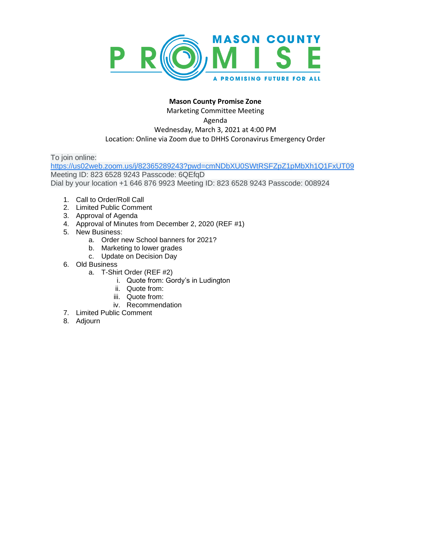

# **Mason County Promise Zone**

Marketing Committee Meeting Agenda Wednesday, March 3, 2021 at 4:00 PM Location: Online via Zoom due to DHHS Coronavirus Emergency Order

To join online:

[https://us02web.zoom.us/j/82365289243?pwd=cmNDbXU0SWtRSFZpZ1pMbXh1Q1FxUT09](https://www.google.com/url?q=https://us02web.zoom.us/j/82365289243?pwd%3DcmNDbXU0SWtRSFZpZ1pMbXh1Q1FxUT09&sa=D&source=calendar&ust=1607283821735000&usg=AOvVaw0qE_UDVs3oD-3p4h2RxmTz) Meeting ID: 823 6528 9243 Passcode: 6QEfqD Dial by your location +1 646 876 9923 Meeting ID: 823 6528 9243 Passcode: 008924

- 1. Call to Order/Roll Call
- 2. Limited Public Comment
- 3. Approval of Agenda
- 4. Approval of Minutes from December 2, 2020 (REF #1)
- 5. New Business:
	- a. Order new School banners for 2021?
	- b. Marketing to lower grades
	- c. Update on Decision Day
- 6. Old Business
	- a. T-Shirt Order (REF #2)
		- i. Quote from: Gordy's in Ludington
		- ii. Quote from:
		- iii. Quote from:
		- iv. Recommendation
- 7. Limited Public Comment
- 8. Adjourn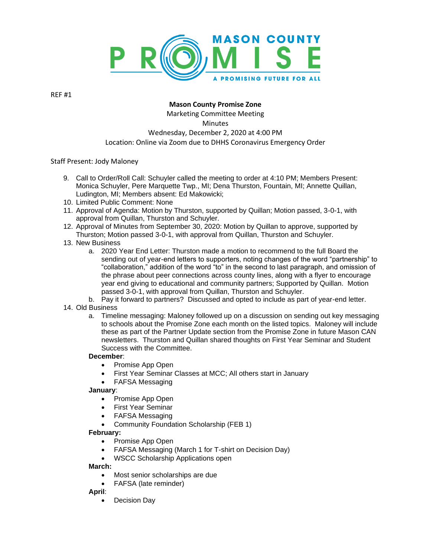

REF #1

# **Mason County Promise Zone**

Marketing Committee Meeting **Minutes** Wednesday, December 2, 2020 at 4:00 PM Location: Online via Zoom due to DHHS Coronavirus Emergency Order

Staff Present: Jody Maloney

- 9. Call to Order/Roll Call: Schuyler called the meeting to order at 4:10 PM; Members Present: Monica Schuyler, Pere Marquette Twp., MI; Dena Thurston, Fountain, MI; Annette Quillan, Ludington, MI; Members absent: Ed Makowicki;
- 10. Limited Public Comment: None
- 11. Approval of Agenda: Motion by Thurston, supported by Quillan; Motion passed, 3-0-1, with approval from Quillan, Thurston and Schuyler.
- 12. Approval of Minutes from September 30, 2020: Motion by Quillan to approve, supported by Thurston; Motion passed 3-0-1, with approval from Quillan, Thurston and Schuyler.
- 13. New Business
	- a. 2020 Year End Letter: Thurston made a motion to recommend to the full Board the sending out of year-end letters to supporters, noting changes of the word "partnership" to "collaboration," addition of the word "to" in the second to last paragraph, and omission of the phrase about peer connections across county lines, along with a flyer to encourage year end giving to educational and community partners; Supported by Quillan. Motion passed 3-0-1, with approval from Quillan, Thurston and Schuyler.
	- b. Pay it forward to partners? Discussed and opted to include as part of year-end letter.
- 14. Old Business
	- a. Timeline messaging: Maloney followed up on a discussion on sending out key messaging to schools about the Promise Zone each month on the listed topics. Maloney will include these as part of the Partner Update section from the Promise Zone in future Mason CAN newsletters. Thurston and Quillan shared thoughts on First Year Seminar and Student Success with the Committee.

# **December**:

- Promise App Open
- First Year Seminar Classes at MCC; All others start in January
- FAFSA Messaging

# **January**:

- Promise App Open
- First Year Seminar
- FAFSA Messaging
- Community Foundation Scholarship (FEB 1)

# **February:**

- Promise App Open
- FAFSA Messaging (March 1 for T-shirt on Decision Day)
- WSCC Scholarship Applications open

# **March:**

- Most senior scholarships are due
- FAFSA (late reminder)

# **April**:

Decision Day